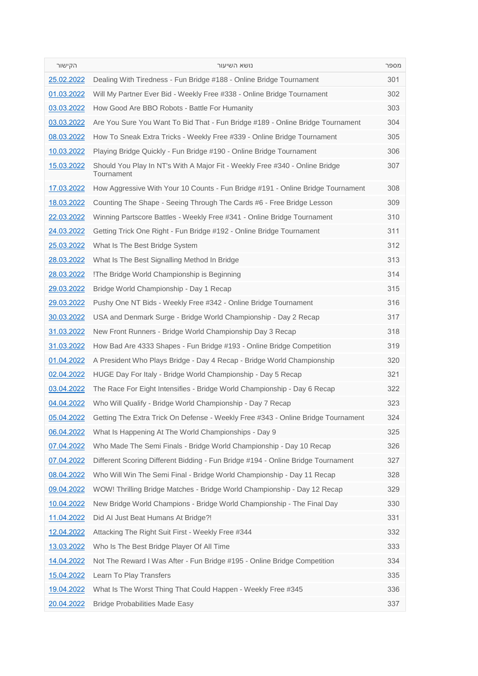| הקישור            | נושא השיעור                                                                               | מספר |
|-------------------|-------------------------------------------------------------------------------------------|------|
| 25.02.2022        | Dealing With Tiredness - Fun Bridge #188 - Online Bridge Tournament                       | 301  |
| 01.03.2022        | Will My Partner Ever Bid - Weekly Free #338 - Online Bridge Tournament                    | 302  |
| 03.03.2022        | How Good Are BBO Robots - Battle For Humanity                                             | 303  |
| 03.03.2022        | Are You Sure You Want To Bid That - Fun Bridge #189 - Online Bridge Tournament            | 304  |
| 08.03.2022        | How To Sneak Extra Tricks - Weekly Free #339 - Online Bridge Tournament                   | 305  |
| 10.03.2022        | Playing Bridge Quickly - Fun Bridge #190 - Online Bridge Tournament                       | 306  |
| 15.03.2022        | Should You Play In NT's With A Major Fit - Weekly Free #340 - Online Bridge<br>Tournament | 307  |
| 17.03.2022        | How Aggressive With Your 10 Counts - Fun Bridge #191 - Online Bridge Tournament           | 308  |
| 18.03.2022        | Counting The Shape - Seeing Through The Cards #6 - Free Bridge Lesson                     | 309  |
| 22.03.2022        | Winning Partscore Battles - Weekly Free #341 - Online Bridge Tournament                   | 310  |
| 24.03.2022        | Getting Trick One Right - Fun Bridge #192 - Online Bridge Tournament                      | 311  |
| 25.03.2022        | What Is The Best Bridge System                                                            | 312  |
| 28.03.2022        | What Is The Best Signalling Method In Bridge                                              | 313  |
| 28.03.2022        | !The Bridge World Championship is Beginning                                               | 314  |
| 29.03.2022        | Bridge World Championship - Day 1 Recap                                                   | 315  |
| 29.03.2022        | Pushy One NT Bids - Weekly Free #342 - Online Bridge Tournament                           | 316  |
| 30.03.2022        | USA and Denmark Surge - Bridge World Championship - Day 2 Recap                           | 317  |
| 31.03.2022        | New Front Runners - Bridge World Championship Day 3 Recap                                 | 318  |
| 31.03.2022        | How Bad Are 4333 Shapes - Fun Bridge #193 - Online Bridge Competition                     | 319  |
| 01.04.2022        | A President Who Plays Bridge - Day 4 Recap - Bridge World Championship                    | 320  |
| 02.04.2022        | HUGE Day For Italy - Bridge World Championship - Day 5 Recap                              | 321  |
| 03.04.2022        | The Race For Eight Intensifies - Bridge World Championship - Day 6 Recap                  | 322  |
| 04.04.2022        | Who Will Qualify - Bridge World Championship - Day 7 Recap                                | 323  |
| 05.04.2022        | Getting The Extra Trick On Defense - Weekly Free #343 - Online Bridge Tournament          | 324  |
| 06.04.2022        | What Is Happening At The World Championships - Day 9                                      | 325  |
| 07.04.2022        | Who Made The Semi Finals - Bridge World Championship - Day 10 Recap                       | 326  |
| 07.04.2022        | Different Scoring Different Bidding - Fun Bridge #194 - Online Bridge Tournament          | 327  |
| <u>08.04.2022</u> | Who Will Win The Semi Final - Bridge World Championship - Day 11 Recap                    | 328  |
| 09.04.2022        | WOW! Thrilling Bridge Matches - Bridge World Championship - Day 12 Recap                  | 329  |
| 10.04.2022        | New Bridge World Champions - Bridge World Championship - The Final Day                    | 330  |
| 11.04.2022        | Did AI Just Beat Humans At Bridge?!                                                       | 331  |
| <u>12.04.2022</u> | Attacking The Right Suit First - Weekly Free #344                                         | 332  |
| 13.03.2022        | Who Is The Best Bridge Player Of All Time                                                 | 333  |
| 14.04.2022        | Not The Reward I Was After - Fun Bridge #195 - Online Bridge Competition                  | 334  |
| 15.04.2022        | Learn To Play Transfers                                                                   | 335  |
| 19.04.2022        | What Is The Worst Thing That Could Happen - Weekly Free #345                              | 336  |
| 20.04.2022        | <b>Bridge Probabilities Made Easy</b>                                                     | 337  |